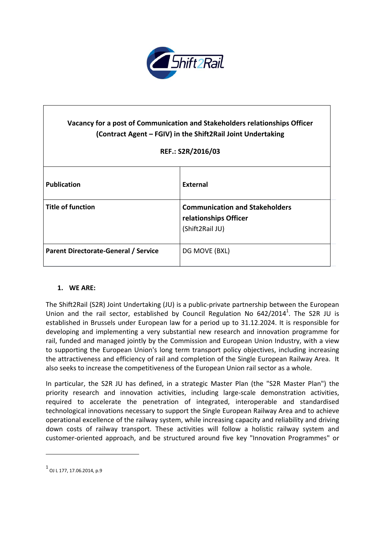

# **Vacancy for a post of Communication and Stakeholders relationships Officer (Contract Agent – FGIV) in the Shift2Rail Joint Undertaking**

# **REF.: S2R/2016/03**

| <b>Publication</b>                          | External                                                                          |
|---------------------------------------------|-----------------------------------------------------------------------------------|
| <b>Title of function</b>                    | <b>Communication and Stakeholders</b><br>relationships Officer<br>(Shift2Rail JU) |
| <b>Parent Directorate-General / Service</b> | DG MOVE (BXL)                                                                     |

#### **1. WE ARE:**

The Shift2Rail (S2R) Joint Undertaking (JU) is a public-private partnership between the European Union and the rail sector, established by Council Regulation No  $642/2014^1$ . The S2R JU is established in Brussels under European law for a period up to 31.12.2024. It is responsible for developing and implementing a very substantial new research and innovation programme for rail, funded and managed jointly by the Commission and European Union Industry, with a view to supporting the European Union's long term transport policy objectives, including increasing the attractiveness and efficiency of rail and completion of the Single European Railway Area. It also seeks to increase the competitiveness of the European Union rail sector as a whole.

In particular, the S2R JU has defined, in a strategic Master Plan (the "S2R Master Plan") the priority research and innovation activities, including large-scale demonstration activities, required to accelerate the penetration of integrated, interoperable and standardised technological innovations necessary to support the Single European Railway Area and to achieve operational excellence of the railway system, while increasing capacity and reliability and driving down costs of railway transport. These activities will follow a holistic railway system and customer-oriented approach, and be structured around five key "Innovation Programmes" or

 $\overline{a}$ 

 $^{\rm 1}$  OJ L 177, 17.06.2014, p.9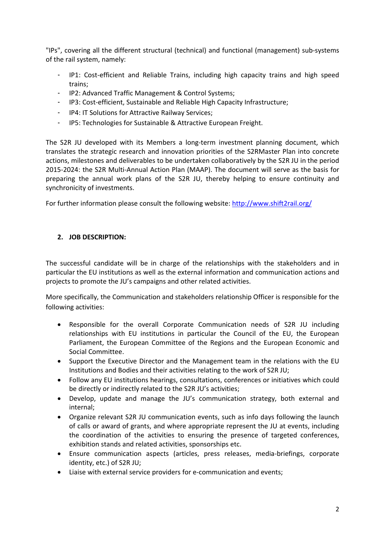"IPs", covering all the different structural (technical) and functional (management) sub-systems of the rail system, namely:

- IP1: Cost-efficient and Reliable Trains, including high capacity trains and high speed trains;
- IP2: Advanced Traffic Management & Control Systems;
- IP3: Cost-efficient, Sustainable and Reliable High Capacity Infrastructure;
- IP4: IT Solutions for Attractive Railway Services;
- IP5: Technologies for Sustainable & Attractive European Freight.

The S2R JU developed with its Members a long-term investment planning document, which translates the strategic research and innovation priorities of the S2RMaster Plan into concrete actions, milestones and deliverables to be undertaken collaboratively by the S2R JU in the period 2015-2024: the S2R Multi-Annual Action Plan (MAAP). The document will serve as the basis for preparing the annual work plans of the S2R JU, thereby helping to ensure continuity and synchronicity of investments.

For further information please consult the following website: <http://www.shift2rail.org/>

# **2. JOB DESCRIPTION:**

The successful candidate will be in charge of the relationships with the stakeholders and in particular the EU institutions as well as the external information and communication actions and projects to promote the JU's campaigns and other related activities.

More specifically, the Communication and stakeholders relationship Officer is responsible for the following activities:

- Responsible for the overall Corporate Communication needs of S2R JU including relationships with EU institutions in particular the Council of the EU, the European Parliament, the European Committee of the Regions and the European Economic and Social Committee.
- Support the Executive Director and the Management team in the relations with the EU Institutions and Bodies and their activities relating to the work of S2R JU;
- Follow any EU institutions hearings, consultations, conferences or initiatives which could be directly or indirectly related to the S2R JU's activities;
- Develop, update and manage the JU's communication strategy, both external and internal;
- Organize relevant S2R JU communication events, such as info days following the launch of calls or award of grants, and where appropriate represent the JU at events, including the coordination of the activities to ensuring the presence of targeted conferences, exhibition stands and related activities, sponsorships etc.
- Ensure communication aspects (articles, press releases, media-briefings, corporate identity, etc.) of S2R JU;
- Liaise with external service providers for e-communication and events;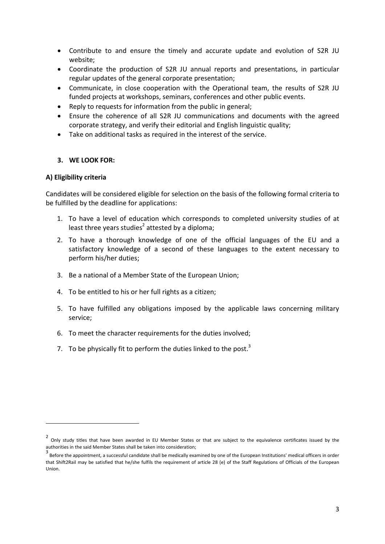- Contribute to and ensure the timely and accurate update and evolution of S2R JU website;
- Coordinate the production of S2R JU annual reports and presentations, in particular regular updates of the general corporate presentation;
- Communicate, in close cooperation with the Operational team, the results of S2R JU funded projects at workshops, seminars, conferences and other public events.
- Reply to requests for information from the public in general;
- Ensure the coherence of all S2R JU communications and documents with the agreed corporate strategy, and verify their editorial and English linguistic quality;
- Take on additional tasks as required in the interest of the service.

#### **3. WE LOOK FOR:**

#### **A) Eligibility criteria**

 $\overline{a}$ 

Candidates will be considered eligible for selection on the basis of the following formal criteria to be fulfilled by the deadline for applications:

- 1. To have a level of education which corresponds to completed university studies of at least three years studies<sup>2</sup> attested by a diploma;
- 2. To have a thorough knowledge of one of the official languages of the EU and a satisfactory knowledge of a second of these languages to the extent necessary to perform his/her duties;
- 3. Be a national of a Member State of the European Union;
- 4. To be entitled to his or her full rights as a citizen;
- 5. To have fulfilled any obligations imposed by the applicable laws concerning military service;
- 6. To meet the character requirements for the duties involved;
- 7. To be physically fit to perform the duties linked to the post. $3$

<sup>2</sup> Only study titles that have been awarded in EU Member States or that are subject to the equivalence certificates issued by the authorities in the said Member States shall be taken into consideration;

<sup>3</sup> Before the appointment, a successful candidate shall be medically examined by one of the European Institutions' medical officers in order that Shift2Rail may be satisfied that he/she fulfils the requirement of article 28 (e) of the Staff Regulations of Officials of the European Union.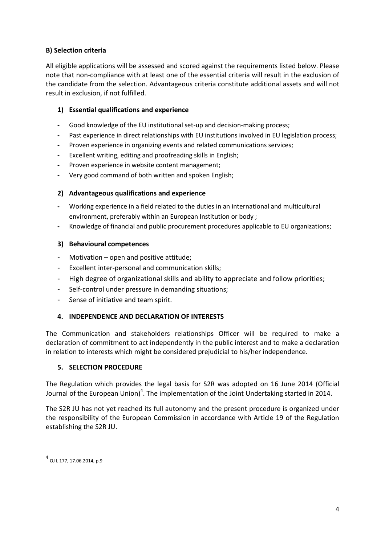# **B) Selection criteria**

All eligible applications will be assessed and scored against the requirements listed below. Please note that non-compliance with at least one of the essential criteria will result in the exclusion of the candidate from the selection. Advantageous criteria constitute additional assets and will not result in exclusion, if not fulfilled.

# **1) Essential qualifications and experience**

- **-** Good knowledge of the EU institutional set-up and decision-making process;
- **-** Past experience in direct relationships with EU institutions involved in EU legislation process;
- **-** Proven experience in organizing events and related communications services;
- **-** Excellent writing, editing and proofreading skills in English;
- **-** Proven experience in website content management;
- **-** Very good command of both written and spoken English;

## **2) Advantageous qualifications and experience**

- **-** Working experience in a field related to the duties in an international and multicultural environment, preferably within an European Institution or body ;
- **-** Knowledge of financial and public procurement procedures applicable to EU organizations;

## **3) Behavioural competences**

- Motivation open and positive attitude;
- Excellent inter-personal and communication skills;
- High degree of organizational skills and ability to appreciate and follow priorities;
- Self-control under pressure in demanding situations;
- Sense of initiative and team spirit.

# **4. INDEPENDENCE AND DECLARATION OF INTERESTS**

The Communication and stakeholders relationships Officer will be required to make a declaration of commitment to act independently in the public interest and to make a declaration in relation to interests which might be considered prejudicial to his/her independence.

#### **5. SELECTION PROCEDURE**

The Regulation which provides the legal basis for S2R was adopted on 16 June 2014 (Official Journal of the European Union)<sup>4</sup>. The implementation of the Joint Undertaking started in 2014.

The S2R JU has not yet reached its full autonomy and the present procedure is organized under the responsibility of the European Commission in accordance with Article 19 of the Regulation establishing the S2R JU.

 $\overline{a}$ 

<sup>4</sup> OJ L 177, 17.06.2014, p.9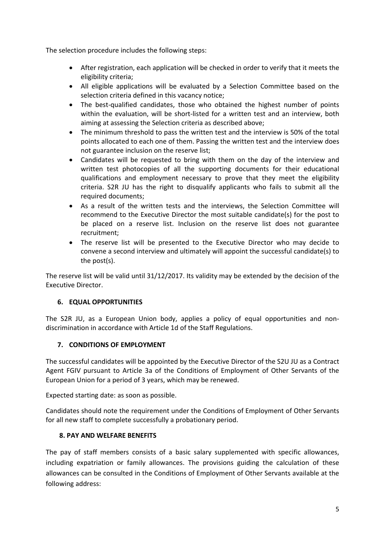The selection procedure includes the following steps:

- After registration, each application will be checked in order to verify that it meets the eligibility criteria;
- All eligible applications will be evaluated by a Selection Committee based on the selection criteria defined in this vacancy notice;
- The best-qualified candidates, those who obtained the highest number of points within the evaluation, will be short-listed for a written test and an interview, both aiming at assessing the Selection criteria as described above;
- The minimum threshold to pass the written test and the interview is 50% of the total points allocated to each one of them. Passing the written test and the interview does not guarantee inclusion on the reserve list;
- Candidates will be requested to bring with them on the day of the interview and written test photocopies of all the supporting documents for their educational qualifications and employment necessary to prove that they meet the eligibility criteria. S2R JU has the right to disqualify applicants who fails to submit all the required documents;
- As a result of the written tests and the interviews, the Selection Committee will recommend to the Executive Director the most suitable candidate(s) for the post to be placed on a reserve list. Inclusion on the reserve list does not guarantee recruitment;
- The reserve list will be presented to the Executive Director who may decide to convene a second interview and ultimately will appoint the successful candidate(s) to the post(s).

The reserve list will be valid until 31/12/2017. Its validity may be extended by the decision of the Executive Director.

# **6. EQUAL OPPORTUNITIES**

The S2R JU, as a European Union body, applies a policy of equal opportunities and nondiscrimination in accordance with Article 1d of the Staff Regulations.

#### **7. CONDITIONS OF EMPLOYMENT**

The successful candidates will be appointed by the Executive Director of the S2U JU as a Contract Agent FGIV pursuant to Article 3a of the Conditions of Employment of Other Servants of the European Union for a period of 3 years, which may be renewed.

Expected starting date: as soon as possible.

Candidates should note the requirement under the Conditions of Employment of Other Servants for all new staff to complete successfully a probationary period.

#### **8. PAY AND WELFARE BENEFITS**

The pay of staff members consists of a basic salary supplemented with specific allowances, including expatriation or family allowances. The provisions guiding the calculation of these allowances can be consulted in the Conditions of Employment of Other Servants available at the following address: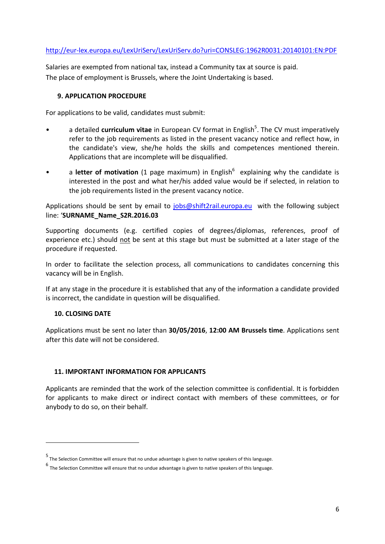## <http://eur-lex.europa.eu/LexUriServ/LexUriServ.do?uri=CONSLEG:1962R0031:20140101:EN:PDF>

Salaries are exempted from national tax, instead a Community tax at source is paid. The place of employment is Brussels, where the Joint Undertaking is based.

#### **9. APPLICATION PROCEDURE**

For applications to be valid, candidates must submit:

- a detailed **curriculum vitae** in European CV format in English<sup>5</sup>. The CV must imperatively refer to the job requirements as listed in the present vacancy notice and reflect how, in the candidate's view, she/he holds the skills and competences mentioned therein. Applications that are incomplete will be disqualified.
- a letter of motivation (1 page maximum) in English<sup>6</sup> explaining why the candidate is interested in the post and what her/his added value would be if selected, in relation to the job requirements listed in the present vacancy notice.

Applications should be sent by email to [jobs@shift2rail.europa.eu](mailto:jobs@shift2rail.europa.eu) with the following subject line: '**SURNAME\_Name\_S2R.2016.03**

Supporting documents (e.g. certified copies of degrees/diplomas, references, proof of experience etc.) should not be sent at this stage but must be submitted at a later stage of the procedure if requested.

In order to facilitate the selection process, all communications to candidates concerning this vacancy will be in English.

If at any stage in the procedure it is established that any of the information a candidate provided is incorrect, the candidate in question will be disqualified.

# **10. CLOSING DATE**

 $\overline{a}$ 

Applications must be sent no later than **30/05/2016**, **12:00 AM Brussels time**. Applications sent after this date will not be considered.

# **11. IMPORTANT INFORMATION FOR APPLICANTS**

Applicants are reminded that the work of the selection committee is confidential. It is forbidden for applicants to make direct or indirect contact with members of these committees, or for anybody to do so, on their behalf.

<sup>5</sup> The Selection Committee will ensure that no undue advantage is given to native speakers of this language.

<sup>6</sup> The Selection Committee will ensure that no undue advantage is given to native speakers of this language.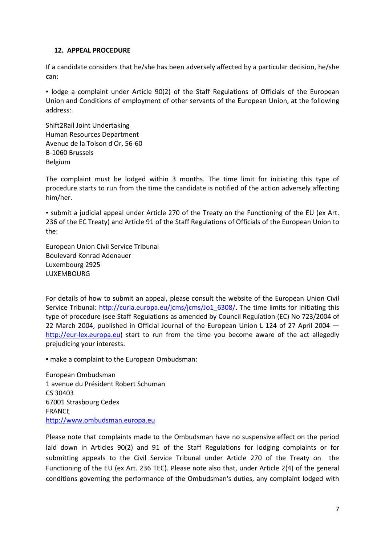#### **12. APPEAL PROCEDURE**

If a candidate considers that he/she has been adversely affected by a particular decision, he/she can:

▪ lodge a complaint under Article 90(2) of the Staff Regulations of Officials of the European Union and Conditions of employment of other servants of the European Union, at the following address:

Shift2Rail Joint Undertaking Human Resources Department Avenue de la Toison d'Or, 56-60 B-1060 Brussels Belgium

The complaint must be lodged within 3 months. The time limit for initiating this type of procedure starts to run from the time the candidate is notified of the action adversely affecting him/her.

▪ submit a judicial appeal under Article 270 of the Treaty on the Functioning of the EU (ex Art. 236 of the EC Treaty) and Article 91 of the Staff Regulations of Officials of the European Union to the:

European Union Civil Service Tribunal Boulevard Konrad Adenauer Luxembourg 2925 LUXEMBOURG

For details of how to submit an appeal, please consult the website of the European Union Civil Service Tribunal: [http://curia.europa.eu/jcms/jcms/Jo1\\_6308/.](http://curia.europa.eu/jcms/jcms/Jo1_6308/) The time limits for initiating this type of procedure (see Staff Regulations as amended by Council Regulation (EC) No 723/2004 of 22 March 2004, published in Official Journal of the European Union L 124 of 27 April 2004 [http://eur-lex.europa.eu\)](http://eur-lex.europa.eu/) start to run from the time you become aware of the act allegedly prejudicing your interests.

▪ make a complaint to the European Ombudsman:

European Ombudsman 1 avenue du Président Robert Schuman CS 30403 67001 Strasbourg Cedex FRANCE [http://www.ombudsman.europa.eu](http://www.ombudsman.europa.eu/)

Please note that complaints made to the Ombudsman have no suspensive effect on the period laid down in Articles 90(2) and 91 of the Staff Regulations for lodging complaints or for submitting appeals to the Civil Service Tribunal under Article 270 of the Treaty on the Functioning of the EU (ex Art. 236 TEC). Please note also that, under Article 2(4) of the general conditions governing the performance of the Ombudsman's duties, any complaint lodged with